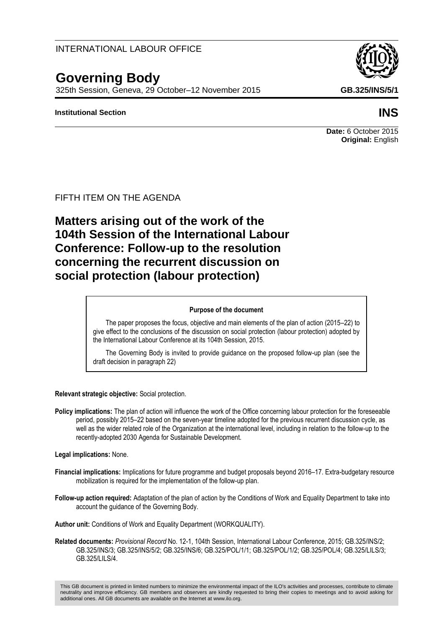#### INTERNATIONAL LABOUR OFFICE

# **Governing Body**

325th Session, Geneva, 29 October–12 November 2015 **GB.325/INS/5/1**

#### **Institutional Section INS**

#### **Date:** 6 October 2015 **Original:** English

#### FIFTH ITEM ON THE AGENDA

**Matters arising out of the work of the 104th Session of the International Labour Conference: Follow-up to the resolution concerning the recurrent discussion on social protection (labour protection)**

#### **Purpose of the document**

The paper proposes the focus, objective and main elements of the plan of action (2015–22) to give effect to the conclusions of the discussion on social protection (labour protection) adopted by the International Labour Conference at its 104th Session, 2015.

The Governing Body is invited to provide guidance on the proposed follow-up plan (see the draft decision in paragraph 22)

**Relevant strategic objective:** Social protection.

**Policy implications:** The plan of action will influence the work of the Office concerning labour protection for the foreseeable period, possibly 2015–22 based on the seven-year timeline adopted for the previous recurrent discussion cycle, as well as the wider related role of the Organization at the international level, including in relation to the follow-up to the recently-adopted 2030 Agenda for Sustainable Development.

#### **Legal implications:** None.

- **Financial implications:** Implications for future programme and budget proposals beyond 2016–17. Extra-budgetary resource mobilization is required for the implementation of the follow-up plan.
- **Follow-up action required:** Adaptation of the plan of action by the Conditions of Work and Equality Department to take into account the guidance of the Governing Body.

**Author unit:** Conditions of Work and Equality Department (WORKQUALITY).

**Related documents:** *Provisional Record* No. 12-1, 104th Session, International Labour Conference, 2015; GB.325/INS/2; GB.325/INS/3; GB.325/INS/5/2; GB.325/INS/6; GB.325/POL/1/1; GB.325/POL/1/2; GB.325/POL/4; GB.325/LILS/3; GB.325/LILS/4.

This GB document is printed in limited numbers to minimize the environmental impact of the ILO's activities and processes, contribute to climate neutrality and improve efficiency. GB members and observers are kindly requested to bring their copies to meetings and to avoid asking for additional ones. All GB documents are available on the Internet at www.ilo.org.

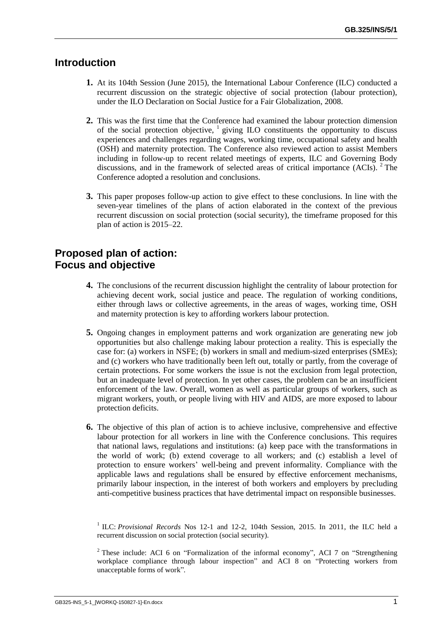## **Introduction**

- **1.** At its 104th Session (June 2015), the International Labour Conference (ILC) conducted a recurrent discussion on the strategic objective of social protection (labour protection), under the ILO Declaration on Social Justice for a Fair Globalization, 2008.
- **2.** This was the first time that the Conference had examined the labour protection dimension of the social protection objective,  $\frac{1}{2}$  giving ILO constituents the opportunity to discuss experiences and challenges regarding wages, working time, occupational safety and health (OSH) and maternity protection. The Conference also reviewed action to assist Members including in follow-up to recent related meetings of experts, ILC and Governing Body discussions, and in the framework of selected areas of critical importance  $(ACIs)$ . <sup>2</sup> The Conference adopted a resolution and conclusions.
- **3.** This paper proposes follow-up action to give effect to these conclusions. In line with the seven-year timelines of the plans of action elaborated in the context of the previous recurrent discussion on social protection (social security), the timeframe proposed for this plan of action is 2015–22.

### **Proposed plan of action: Focus and objective**

- **4.** The conclusions of the recurrent discussion highlight the centrality of labour protection for achieving decent work, social justice and peace. The regulation of working conditions, either through laws or collective agreements, in the areas of wages, working time, OSH and maternity protection is key to affording workers labour protection.
- **5.** Ongoing changes in employment patterns and work organization are generating new job opportunities but also challenge making labour protection a reality. This is especially the case for: (a) workers in NSFE; (b) workers in small and medium-sized enterprises (SMEs); and (c) workers who have traditionally been left out, totally or partly, from the coverage of certain protections. For some workers the issue is not the exclusion from legal protection, but an inadequate level of protection. In yet other cases, the problem can be an insufficient enforcement of the law. Overall, women as well as particular groups of workers, such as migrant workers, youth, or people living with HIV and AIDS, are more exposed to labour protection deficits.
- **6.** The objective of this plan of action is to achieve inclusive, comprehensive and effective labour protection for all workers in line with the Conference conclusions. This requires that national laws, regulations and institutions: (a) keep pace with the transformations in the world of work; (b) extend coverage to all workers; and (c) establish a level of protection to ensure workers' well-being and prevent informality. Compliance with the applicable laws and regulations shall be ensured by effective enforcement mechanisms, primarily labour inspection, in the interest of both workers and employers by precluding anti-competitive business practices that have detrimental impact on responsible businesses.

<sup>1</sup> ILC: *Provisional Records* Nos 12-1 and 12-2, 104th Session, 2015. In 2011, the ILC held a recurrent discussion on social protection (social security).

<sup>&</sup>lt;sup>2</sup> These include: ACI 6 on "Formalization of the informal economy", ACI 7 on "Strengthening workplace compliance through labour inspection" and ACI 8 on "Protecting workers from unacceptable forms of work"*.*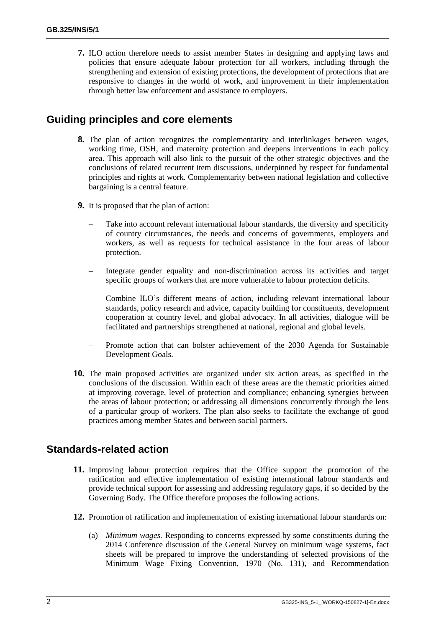**7.** ILO action therefore needs to assist member States in designing and applying laws and policies that ensure adequate labour protection for all workers, including through the strengthening and extension of existing protections, the development of protections that are responsive to changes in the world of work, and improvement in their implementation through better law enforcement and assistance to employers.

### **Guiding principles and core elements**

- **8.** The plan of action recognizes the complementarity and interlinkages between wages, working time, OSH, and maternity protection and deepens interventions in each policy area. This approach will also link to the pursuit of the other strategic objectives and the conclusions of related recurrent item discussions, underpinned by respect for fundamental principles and rights at work. Complementarity between national legislation and collective bargaining is a central feature.
- **9.** It is proposed that the plan of action:
	- Take into account relevant international labour standards, the diversity and specificity of country circumstances, the needs and concerns of governments, employers and workers, as well as requests for technical assistance in the four areas of labour protection.
	- Integrate gender equality and non-discrimination across its activities and target specific groups of workers that are more vulnerable to labour protection deficits.
	- Combine ILO's different means of action, including relevant international labour standards, policy research and advice, capacity building for constituents, development cooperation at country level, and global advocacy. In all activities, dialogue will be facilitated and partnerships strengthened at national, regional and global levels.
	- Promote action that can bolster achievement of the 2030 Agenda for Sustainable Development Goals.
- **10.** The main proposed activities are organized under six action areas, as specified in the conclusions of the discussion. Within each of these areas are the thematic priorities aimed at improving coverage, level of protection and compliance; enhancing synergies between the areas of labour protection; or addressing all dimensions concurrently through the lens of a particular group of workers. The plan also seeks to facilitate the exchange of good practices among member States and between social partners.

### **Standards-related action**

- **11.** Improving labour protection requires that the Office support the promotion of the ratification and effective implementation of existing international labour standards and provide technical support for assessing and addressing regulatory gaps, if so decided by the Governing Body. The Office therefore proposes the following actions.
- **12.** Promotion of ratification and implementation of existing international labour standards on:
	- (a) *Minimum wages.* Responding to concerns expressed by some constituents during the 2014 Conference discussion of the General Survey on minimum wage systems, fact sheets will be prepared to improve the understanding of selected provisions of the Minimum Wage Fixing Convention, 1970 (No. 131), and Recommendation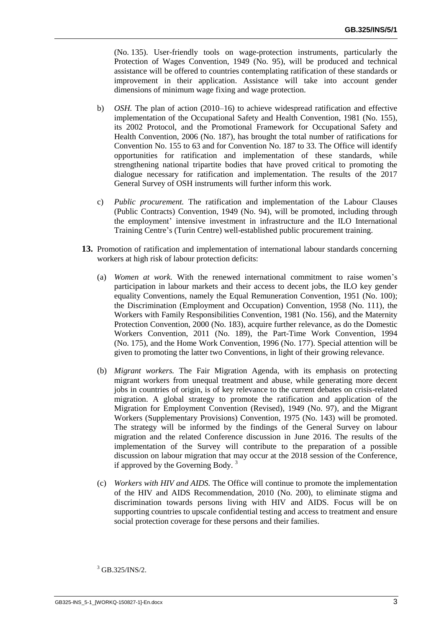(No. 135). User-friendly tools on wage-protection instruments, particularly the Protection of Wages Convention, 1949 (No. 95), will be produced and technical assistance will be offered to countries contemplating ratification of these standards or improvement in their application. Assistance will take into account gender dimensions of minimum wage fixing and wage protection.

- b) *OSH.* The plan of action (2010–16) to achieve widespread ratification and effective implementation of the Occupational Safety and Health Convention, 1981 (No. 155), its 2002 Protocol, and the Promotional Framework for Occupational Safety and Health Convention, 2006 (No. 187), has brought the total number of ratifications for Convention No. 155 to 63 and for Convention No. 187 to 33. The Office will identify opportunities for ratification and implementation of these standards, while strengthening national tripartite bodies that have proved critical to promoting the dialogue necessary for ratification and implementation. The results of the 2017 General Survey of OSH instruments will further inform this work.
- c) *Public procurement.* The ratification and implementation of the Labour Clauses (Public Contracts) Convention, 1949 (No. 94), will be promoted, including through the employment' intensive investment in infrastructure and the ILO International Training Centre's (Turin Centre) well-established public procurement training.
- **13.** Promotion of ratification and implementation of international labour standards concerning workers at high risk of labour protection deficits:
	- (a) *Women at work.* With the renewed international commitment to raise women's participation in labour markets and their access to decent jobs, the ILO key gender equality Conventions, namely the Equal Remuneration Convention, 1951 (No. 100); the Discrimination (Employment and Occupation) Convention, 1958 (No. 111), the Workers with Family Responsibilities Convention, 1981 (No. 156), and the Maternity Protection Convention, 2000 (No. 183), acquire further relevance, as do the Domestic Workers Convention, 2011 (No. 189), the Part-Time Work Convention, 1994 (No. 175), and the Home Work Convention, 1996 (No. 177). Special attention will be given to promoting the latter two Conventions, in light of their growing relevance.
	- (b) *Migrant workers.* The Fair Migration Agenda, with its emphasis on protecting migrant workers from unequal treatment and abuse, while generating more decent jobs in countries of origin, is of key relevance to the current debates on crisis-related migration. A global strategy to promote the ratification and application of the Migration for Employment Convention (Revised), 1949 (No. 97), and the Migrant Workers (Supplementary Provisions) Convention, 1975 (No. 143) will be promoted. The strategy will be informed by the findings of the General Survey on labour migration and the related Conference discussion in June 2016. The results of the implementation of the Survey will contribute to the preparation of a possible discussion on labour migration that may occur at the 2018 session of the Conference, if approved by the Governing Body.  $3$
	- (c) *Workers with HIV and AIDS.* The Office will continue to promote the implementation of the HIV and AIDS Recommendation, 2010 (No. 200), to eliminate stigma and discrimination towards persons living with HIV and AIDS. Focus will be on supporting countries to upscale confidential testing and access to treatment and ensure social protection coverage for these persons and their families.

 $3$  GB.325/INS/2.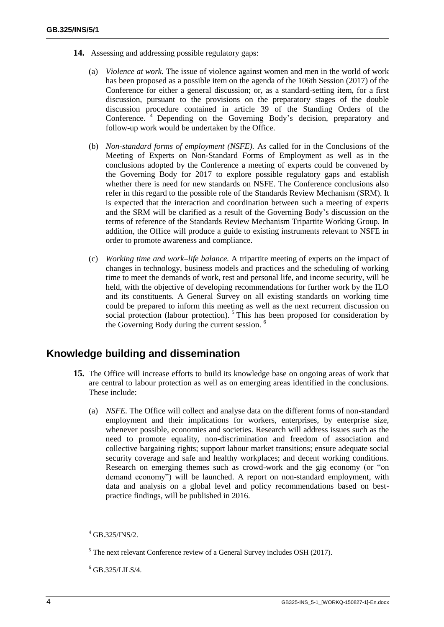- **14.** Assessing and addressing possible regulatory gaps:
	- (a) *Violence at work.* The issue of violence against women and men in the world of work has been proposed as a possible item on the agenda of the 106th Session (2017) of the Conference for either a general discussion; or, as a standard-setting item, for a first discussion, pursuant to the provisions on the preparatory stages of the double discussion procedure contained in article 39 of the Standing Orders of the Conference. <sup>4</sup> Depending on the Governing Body's decision, preparatory and follow-up work would be undertaken by the Office.
	- (b) *Non-standard forms of employment (NSFE).* As called for in the Conclusions of the Meeting of Experts on Non-Standard Forms of Employment as well as in the conclusions adopted by the Conference a meeting of experts could be convened by the Governing Body for 2017 to explore possible regulatory gaps and establish whether there is need for new standards on NSFE. The Conference conclusions also refer in this regard to the possible role of the Standards Review Mechanism (SRM). It is expected that the interaction and coordination between such a meeting of experts and the SRM will be clarified as a result of the Governing Body's discussion on the terms of reference of the Standards Review Mechanism Tripartite Working Group. In addition, the Office will produce a guide to existing instruments relevant to NSFE in order to promote awareness and compliance.
	- (c) *Working time and work–life balance.* A tripartite meeting of experts on the impact of changes in technology, business models and practices and the scheduling of working time to meet the demands of work, rest and personal life, and income security, will be held, with the objective of developing recommendations for further work by the ILO and its constituents. A General Survey on all existing standards on working time could be prepared to inform this meeting as well as the next recurrent discussion on social protection (labour protection). <sup>5</sup> This has been proposed for consideration by the Governing Body during the current session. <sup>6</sup>

#### **Knowledge building and dissemination**

- **15.** The Office will increase efforts to build its knowledge base on ongoing areas of work that are central to labour protection as well as on emerging areas identified in the conclusions. These include:
	- (a) *NSFE.* The Office will collect and analyse data on the different forms of non-standard employment and their implications for workers, enterprises, by enterprise size, whenever possible, economies and societies. Research will address issues such as the need to promote equality, non-discrimination and freedom of association and collective bargaining rights; support labour market transitions; ensure adequate social security coverage and safe and healthy workplaces; and decent working conditions. Research on emerging themes such as crowd-work and the gig economy (or "on demand economy") will be launched. A report on non-standard employment, with data and analysis on a global level and policy recommendations based on bestpractice findings, will be published in 2016.

 $6$  GB.325/LILS/4.

<sup>4</sup> GB.325/INS/2.

 $<sup>5</sup>$  The next relevant Conference review of a General Survey includes OSH (2017).</sup>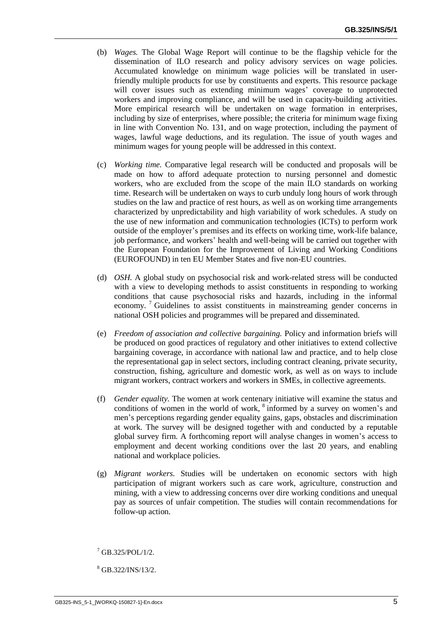- (b) *Wages.* The Global Wage Report will continue to be the flagship vehicle for the dissemination of ILO research and policy advisory services on wage policies. Accumulated knowledge on minimum wage policies will be translated in userfriendly multiple products for use by constituents and experts. This resource package will cover issues such as extending minimum wages' coverage to unprotected workers and improving compliance, and will be used in capacity-building activities. More empirical research will be undertaken on wage formation in enterprises, including by size of enterprises, where possible; the criteria for minimum wage fixing in line with Convention No. 131, and on wage protection, including the payment of wages, lawful wage deductions, and its regulation. The issue of youth wages and minimum wages for young people will be addressed in this context.
- (c) *Working time.* Comparative legal research will be conducted and proposals will be made on how to afford adequate protection to nursing personnel and domestic workers, who are excluded from the scope of the main ILO standards on working time. Research will be undertaken on ways to curb unduly long hours of work through studies on the law and practice of rest hours, as well as on working time arrangements characterized by unpredictability and high variability of work schedules. A study on the use of new information and communication technologies (ICTs) to perform work outside of the employer's premises and its effects on working time, work-life balance, job performance, and workers' health and well-being will be carried out together with the European Foundation for the Improvement of Living and Working Conditions (EUROFOUND) in ten EU Member States and five non-EU countries.
- (d) *OSH.* A global study on psychosocial risk and work-related stress will be conducted with a view to developing methods to assist constituents in responding to working conditions that cause psychosocial risks and hazards, including in the informal economy. <sup>7</sup> Guidelines to assist constituents in mainstreaming gender concerns in national OSH policies and programmes will be prepared and disseminated.
- (e) *Freedom of association and collective bargaining.* Policy and information briefs will be produced on good practices of regulatory and other initiatives to extend collective bargaining coverage, in accordance with national law and practice, and to help close the representational gap in select sectors, including contract cleaning, private security, construction, fishing, agriculture and domestic work, as well as on ways to include migrant workers, contract workers and workers in SMEs, in collective agreements.
- (f) *Gender equality.* The women at work centenary initiative will examine the status and conditions of women in the world of work, <sup>8</sup> informed by a survey on women's and men's perceptions regarding gender equality gains, gaps, obstacles and discrimination at work. The survey will be designed together with and conducted by a reputable global survey firm. A forthcoming report will analyse changes in women's access to employment and decent working conditions over the last 20 years, and enabling national and workplace policies.
- (g) *Migrant workers.* Studies will be undertaken on economic sectors with high participation of migrant workers such as care work, agriculture, construction and mining, with a view to addressing concerns over dire working conditions and unequal pay as sources of unfair competition. The studies will contain recommendations for follow-up action.

 $^{7}$  GB.325/POL/1/2.

<sup>8</sup> GB.322/INS/13/2.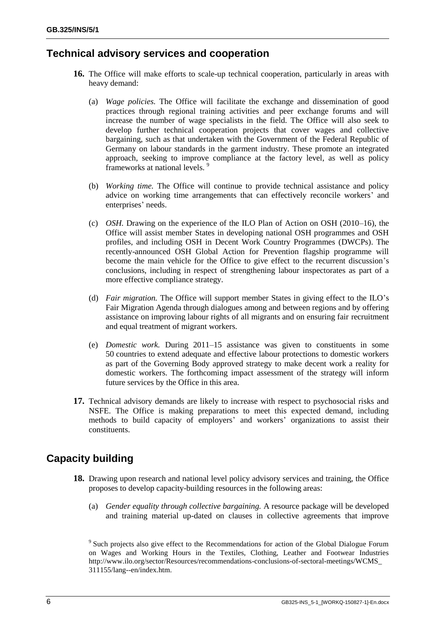# **Technical advisory services and cooperation**

- **16.** The Office will make efforts to scale-up technical cooperation, particularly in areas with heavy demand:
	- (a) *Wage policies.* The Office will facilitate the exchange and dissemination of good practices through regional training activities and peer exchange forums and will increase the number of wage specialists in the field. The Office will also seek to develop further technical cooperation projects that cover wages and collective bargaining, such as that undertaken with the Government of the Federal Republic of Germany on labour standards in the garment industry. These promote an integrated approach, seeking to improve compliance at the factory level, as well as policy frameworks at national levels. <sup>9</sup>
	- (b) *Working time.* The Office will continue to provide technical assistance and policy advice on working time arrangements that can effectively reconcile workers' and enterprises' needs.
	- (c) *OSH.* Drawing on the experience of the ILO Plan of Action on OSH (2010–16), the Office will assist member States in developing national OSH programmes and OSH profiles, and including OSH in Decent Work Country Programmes (DWCPs). The recently-announced OSH Global Action for Prevention flagship programme will become the main vehicle for the Office to give effect to the recurrent discussion's conclusions, including in respect of strengthening labour inspectorates as part of a more effective compliance strategy.
	- (d) *Fair migration.* The Office will support member States in giving effect to the ILO's Fair Migration Agenda through dialogues among and between regions and by offering assistance on improving labour rights of all migrants and on ensuring fair recruitment and equal treatment of migrant workers.
	- (e) *Domestic work.* During 2011–15 assistance was given to constituents in some 50 countries to extend adequate and effective labour protections to domestic workers as part of the Governing Body approved strategy to make decent work a reality for domestic workers. The forthcoming impact assessment of the strategy will inform future services by the Office in this area.
- **17.** Technical advisory demands are likely to increase with respect to psychosocial risks and NSFE. The Office is making preparations to meet this expected demand, including methods to build capacity of employers' and workers' organizations to assist their constituents.

# **Capacity building**

- **18.** Drawing upon research and national level policy advisory services and training, the Office proposes to develop capacity-building resources in the following areas:
	- (a) *Gender equality through collective bargaining.* A resource package will be developed and training material up-dated on clauses in collective agreements that improve

<sup>&</sup>lt;sup>9</sup> Such projects also give effect to the Recommendations for action of the Global Dialogue Forum on Wages and Working Hours in the Textiles, Clothing, Leather and Footwear Industries [http://www.ilo.org/sector/Resources/recommendations-conclusions-of-sectoral-meetings/WCMS\\_](http://www.ilo.org/sector/Resources/recommendations-conclusions-of-sectoral-meetings/WCMS_311155/lang--en/index.htm) [311155/lang--en/index.htm.](http://www.ilo.org/sector/Resources/recommendations-conclusions-of-sectoral-meetings/WCMS_311155/lang--en/index.htm)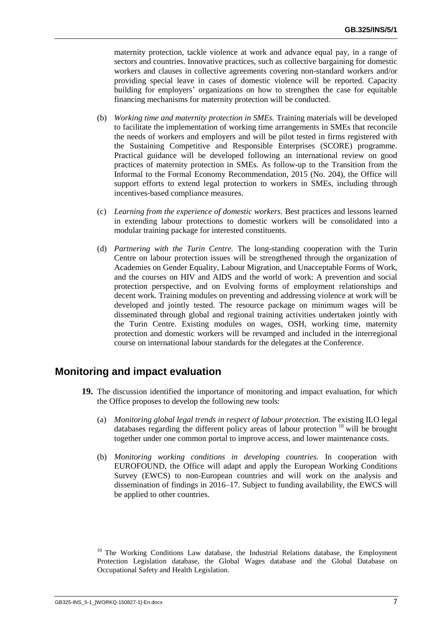maternity protection, tackle violence at work and advance equal pay, in a range of sectors and countries. Innovative practices, such as collective bargaining for domestic workers and clauses in collective agreements covering non-standard workers and/or providing special leave in cases of domestic violence will be reported. Capacity building for employers' organizations on how to strengthen the case for equitable financing mechanisms for maternity protection will be conducted.

- (b) *Working time and maternity protection in SMEs.* Training materials will be developed to facilitate the implementation of working time arrangements in SMEs that reconcile the needs of workers and employers and will be pilot tested in firms registered with the Sustaining Competitive and Responsible Enterprises (SCORE) programme. Practical guidance will be developed following an international review on good practices of maternity protection in SMEs. As follow-up to the Transition from the Informal to the Formal Economy Recommendation, 2015 (No. 204), the Office will support efforts to extend legal protection to workers in SMEs, including through incentives-based compliance measures.
- (c) *Learning from the experience of domestic workers.* Best practices and lessons learned in extending labour protections to domestic workers will be consolidated into a modular training package for interested constituents.
- (d) *Partnering with the Turin Centre.* The long-standing cooperation with the Turin Centre on labour protection issues will be strengthened through the organization of Academies on Gender Equality, Labour Migration, and Unacceptable Forms of Work, and the courses on HIV and AIDS and the world of work: A prevention and social protection perspective, and on Evolving forms of employment relationships and decent work. Training modules on preventing and addressing violence at work will be developed and jointly tested. The resource package on minimum wages will be disseminated through global and regional training activities undertaken jointly with the Turin Centre. Existing modules on wages, OSH, working time, maternity protection and domestic workers will be revamped and included in the interregional course on international labour standards for the delegates at the Conference.

#### **Monitoring and impact evaluation**

- **19.** The discussion identified the importance of monitoring and impact evaluation, for which the Office proposes to develop the following new tools:
	- (a) *Monitoring global legal trends in respect of labour protection.* The existing ILO legal databases regarding the different policy areas of labour protection  $10$  will be brought together under one common portal to improve access, and lower maintenance costs.
	- (b) *Monitoring working conditions in developing countries.* In cooperation with EUROFOUND, the Office will adapt and apply the European Working Conditions Survey (EWCS) to non-European countries and will work on the analysis and dissemination of findings in 2016–17. Subject to funding availability, the EWCS will be applied to other countries.

<sup>&</sup>lt;sup>10</sup> The Working Conditions Law database, the Industrial Relations database, the Employment Protection Legislation database, the Global Wages database and the Global Database on Occupational Safety and Health Legislation.